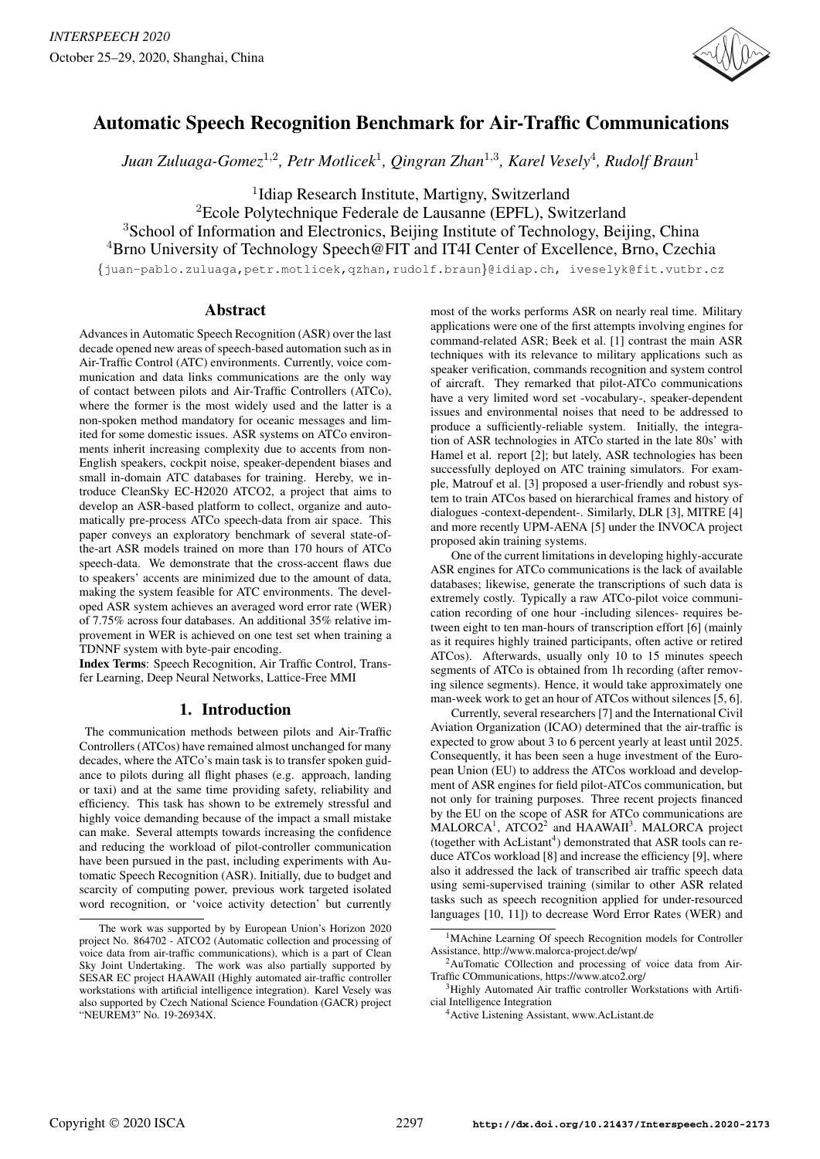

# Automatic Speech Recognition Benchmark for Air-Traffic Communications

*Juan Zuluaga-Gomez*<sup>1</sup>,<sup>2</sup> *, Petr Motlicek*<sup>1</sup> *, Qingran Zhan*<sup>1</sup>,<sup>3</sup> *, Karel Vesely*<sup>4</sup> *, Rudolf Braun*<sup>1</sup>

<sup>1</sup>Idiap Research Institute, Martigny, Switzerland

<sup>2</sup>Ecole Polytechnique Federale de Lausanne (EPFL), Switzerland <sup>3</sup>School of Information and Electronics, Beijing Institute of Technology, Beijing, China <sup>4</sup>Brno University of Technology Speech@FIT and IT4I Center of Excellence, Brno, Czechia

{juan-pablo.zuluaga,petr.motlicek,qzhan,rudolf.braun}@idiap.ch, iveselyk@fit.vutbr.cz

## Abstract

Advances in Automatic Speech Recognition (ASR) over the last decade opened new areas of speech-based automation such as in Air-Traffic Control (ATC) environments. Currently, voice communication and data links communications are the only way of contact between pilots and Air-Traffic Controllers (ATCo), where the former is the most widely used and the latter is a non-spoken method mandatory for oceanic messages and limited for some domestic issues. ASR systems on ATCo environments inherit increasing complexity due to accents from non-English speakers, cockpit noise, speaker-dependent biases and small in-domain ATC databases for training. Hereby, we introduce CleanSky EC-H2020 ATCO2, a project that aims to develop an ASR-based platform to collect, organize and automatically pre-process ATCo speech-data from air space. This paper conveys an exploratory benchmark of several state-ofthe-art ASR models trained on more than 170 hours of ATCo speech-data. We demonstrate that the cross-accent flaws due to speakers' accents are minimized due to the amount of data, making the system feasible for ATC environments. The developed ASR system achieves an averaged word error rate (WER) of 7.75% across four databases. An additional 35% relative improvement in WER is achieved on one test set when training a TDNNF system with byte-pair encoding.

Index Terms: Speech Recognition, Air Traffic Control, Transfer Learning, Deep Neural Networks, Lattice-Free MMI

## 1. Introduction

The communication methods between pilots and Air-Traffic Controllers (ATCos) have remained almost unchanged for many decades, where the ATCo's main task is to transfer spoken guidance to pilots during all flight phases (e.g. approach, landing or taxi) and at the same time providing safety, reliability and efficiency. This task has shown to be extremely stressful and highly voice demanding because of the impact a small mistake can make. Several attempts towards increasing the confidence and reducing the workload of pilot-controller communication have been pursued in the past, including experiments with Automatic Speech Recognition (ASR). Initially, due to budget and scarcity of computing power, previous work targeted isolated word recognition, or 'voice activity detection' but currently most of the works performs ASR on nearly real time. Military applications were one of the first attempts involving engines for command-related ASR; Beek et al. [1] contrast the main ASR techniques with its relevance to military applications such as speaker verification, commands recognition and system control of aircraft. They remarked that pilot-ATCo communications have a very limited word set -vocabulary-, speaker-dependent issues and environmental noises that need to be addressed to produce a sufficiently-reliable system. Initially, the integration of ASR technologies in ATCo started in the late 80s' with Hamel et al. report [2]; but lately, ASR technologies has been successfully deployed on ATC training simulators. For example, Matrouf et al. [3] proposed a user-friendly and robust system to train ATCos based on hierarchical frames and history of dialogues -context-dependent-. Similarly, DLR [3], MITRE [4] and more recently UPM-AENA [5] under the INVOCA project proposed akin training systems.

One of the current limitations in developing highly-accurate ASR engines for ATCo communications is the lack of available databases; likewise, generate the transcriptions of such data is extremely costly. Typically a raw ATCo-pilot voice communication recording of one hour -including silences- requires between eight to ten man-hours of transcription effort [6] (mainly as it requires highly trained participants, often active or retired ATCos). Afterwards, usually only 10 to 15 minutes speech segments of ATCo is obtained from 1h recording (after removing silence segments). Hence, it would take approximately one man-week work to get an hour of ATCos without silences [5, 6].

Currently, several researchers [7] and the International Civil Aviation Organization (ICAO) determined that the air-traffic is expected to grow about 3 to 6 percent yearly at least until 2025. Consequently, it has been seen a huge investment of the European Union (EU) to address the ATCos workload and development of ASR engines for field pilot-ATCos communication, but not only for training purposes. Three recent projects financed by the EU on the scope of ASR for ATCo communications are  $MALORCA<sup>1</sup>$ , ATCO2<sup>2</sup> and HAAWAII<sup>3</sup>. MALORCA project (together with  $AcListant<sup>4</sup>$ ) demonstrated that ASR tools can reduce ATCos workload [8] and increase the efficiency [9], where also it addressed the lack of transcribed air traffic speech data using semi-supervised training (similar to other ASR related tasks such as speech recognition applied for under-resourced languages [10, 11]) to decrease Word Error Rates (WER) and

The work was supported by by European Union's Horizon 2020 project No. 864702 - ATCO2 (Automatic collection and processing of voice data from air-traffic communications), which is a part of Clean Sky Joint Undertaking. The work was also partially supported by SESAR EC project HAAWAII (Highly automated air-traffic controller workstations with artificial intelligence integration). Karel Vesely was also supported by Czech National Science Foundation (GACR) project "NEUREM3" No. 19-26934X.

<sup>&</sup>lt;sup>1</sup>MAchine Learning Of speech Recognition models for Controller Assistance, http://www.malorca-project.de/wp/

<sup>&</sup>lt;sup>2</sup>AuTomatic COllection and processing of voice data from Air-Traffic COmmunications, https://www.atco2.org/

<sup>&</sup>lt;sup>3</sup>Highly Automated Air traffic controller Workstations with Artificial Intelligence Integration

<sup>4</sup>Active Listening Assistant, www.AcListant.de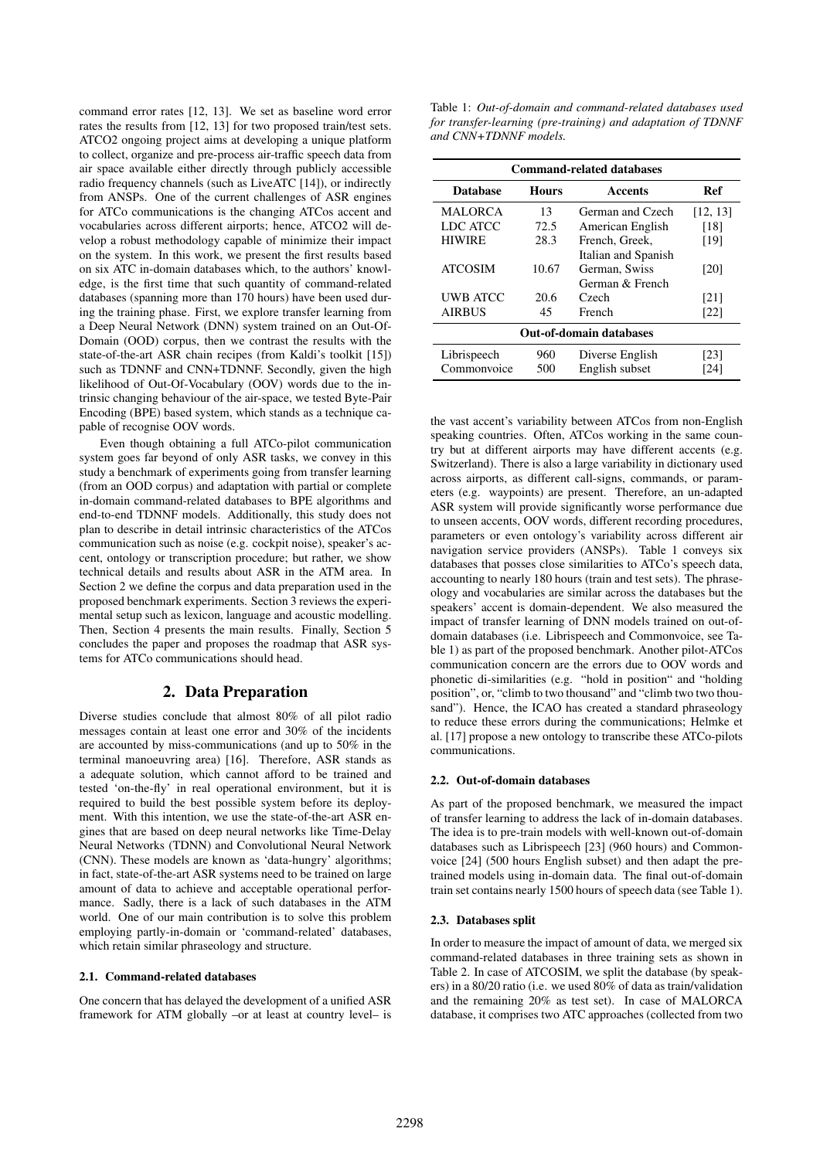command error rates [12, 13]. We set as baseline word error rates the results from [12, 13] for two proposed train/test sets. ATCO2 ongoing project aims at developing a unique platform to collect, organize and pre-process air-traffic speech data from air space available either directly through publicly accessible radio frequency channels (such as LiveATC [14]), or indirectly from ANSPs. One of the current challenges of ASR engines for ATCo communications is the changing ATCos accent and vocabularies across different airports; hence, ATCO2 will develop a robust methodology capable of minimize their impact on the system. In this work, we present the first results based on six ATC in-domain databases which, to the authors' knowledge, is the first time that such quantity of command-related databases (spanning more than 170 hours) have been used during the training phase. First, we explore transfer learning from a Deep Neural Network (DNN) system trained on an Out-Of-Domain (OOD) corpus, then we contrast the results with the state-of-the-art ASR chain recipes (from Kaldi's toolkit [15]) such as TDNNF and CNN+TDNNF. Secondly, given the high likelihood of Out-Of-Vocabulary (OOV) words due to the intrinsic changing behaviour of the air-space, we tested Byte-Pair Encoding (BPE) based system, which stands as a technique capable of recognise OOV words.

Even though obtaining a full ATCo-pilot communication system goes far beyond of only ASR tasks, we convey in this study a benchmark of experiments going from transfer learning (from an OOD corpus) and adaptation with partial or complete in-domain command-related databases to BPE algorithms and end-to-end TDNNF models. Additionally, this study does not plan to describe in detail intrinsic characteristics of the ATCos communication such as noise (e.g. cockpit noise), speaker's accent, ontology or transcription procedure; but rather, we show technical details and results about ASR in the ATM area. In Section 2 we define the corpus and data preparation used in the proposed benchmark experiments. Section 3 reviews the experimental setup such as lexicon, language and acoustic modelling. Then, Section 4 presents the main results. Finally, Section 5 concludes the paper and proposes the roadmap that ASR systems for ATCo communications should head.

## 2. Data Preparation

Diverse studies conclude that almost 80% of all pilot radio messages contain at least one error and 30% of the incidents are accounted by miss-communications (and up to 50% in the terminal manoeuvring area) [16]. Therefore, ASR stands as a adequate solution, which cannot afford to be trained and tested 'on-the-fly' in real operational environment, but it is required to build the best possible system before its deployment. With this intention, we use the state-of-the-art ASR engines that are based on deep neural networks like Time-Delay Neural Networks (TDNN) and Convolutional Neural Network (CNN). These models are known as 'data-hungry' algorithms; in fact, state-of-the-art ASR systems need to be trained on large amount of data to achieve and acceptable operational performance. Sadly, there is a lack of such databases in the ATM world. One of our main contribution is to solve this problem employing partly-in-domain or 'command-related' databases, which retain similar phraseology and structure.

### 2.1. Command-related databases

One concern that has delayed the development of a unified ASR framework for ATM globally –or at least at country level– is

Table 1: *Out-of-domain and command-related databases used for transfer-learning (pre-training) and adaptation of TDNNF and CNN+TDNNF models.*

| <b>Command-related databases</b> |              |                     |          |  |  |  |  |  |
|----------------------------------|--------------|---------------------|----------|--|--|--|--|--|
| <b>Database</b>                  | <b>Hours</b> | Accents             | Ref      |  |  |  |  |  |
| <b>MALORCA</b>                   | 13           | German and Czech    | [12, 13] |  |  |  |  |  |
| <b>LDC ATCC</b>                  | 72.5         | American English    | [18]     |  |  |  |  |  |
| <b>HIWIRE</b>                    | 28.3         | French, Greek,      | [19]     |  |  |  |  |  |
|                                  |              | Italian and Spanish |          |  |  |  |  |  |
| <b>ATCOSIM</b>                   | 10.67        | German, Swiss       | [20]     |  |  |  |  |  |
|                                  |              | German & French     |          |  |  |  |  |  |
| UWB ATCC                         | 20.6         | Czech               | [21]     |  |  |  |  |  |
| <b>AIRBUS</b>                    | 45           | French              | [22]     |  |  |  |  |  |
| <b>Out-of-domain databases</b>   |              |                     |          |  |  |  |  |  |
| Librispeech                      | 960          | Diverse English     | [23]     |  |  |  |  |  |
| Commonvoice                      | 500          | English subset      | [24]     |  |  |  |  |  |

the vast accent's variability between ATCos from non-English speaking countries. Often, ATCos working in the same country but at different airports may have different accents (e.g. Switzerland). There is also a large variability in dictionary used across airports, as different call-signs, commands, or parameters (e.g. waypoints) are present. Therefore, an un-adapted ASR system will provide significantly worse performance due to unseen accents, OOV words, different recording procedures, parameters or even ontology's variability across different air navigation service providers (ANSPs). Table 1 conveys six databases that posses close similarities to ATCo's speech data, accounting to nearly 180 hours (train and test sets). The phraseology and vocabularies are similar across the databases but the speakers' accent is domain-dependent. We also measured the impact of transfer learning of DNN models trained on out-ofdomain databases (i.e. Librispeech and Commonvoice, see Table 1) as part of the proposed benchmark. Another pilot-ATCos communication concern are the errors due to OOV words and phonetic di-similarities (e.g. "hold in position" and "holding position", or, "climb to two thousand" and "climb two two thousand"). Hence, the ICAO has created a standard phraseology to reduce these errors during the communications; Helmke et al. [17] propose a new ontology to transcribe these ATCo-pilots communications.

### 2.2. Out-of-domain databases

As part of the proposed benchmark, we measured the impact of transfer learning to address the lack of in-domain databases. The idea is to pre-train models with well-known out-of-domain databases such as Librispeech [23] (960 hours) and Commonvoice [24] (500 hours English subset) and then adapt the pretrained models using in-domain data. The final out-of-domain train set contains nearly 1500 hours of speech data (see Table 1).

### 2.3. Databases split

In order to measure the impact of amount of data, we merged six command-related databases in three training sets as shown in Table 2. In case of ATCOSIM, we split the database (by speakers) in a 80/20 ratio (i.e. we used 80% of data as train/validation and the remaining 20% as test set). In case of MALORCA database, it comprises two ATC approaches (collected from two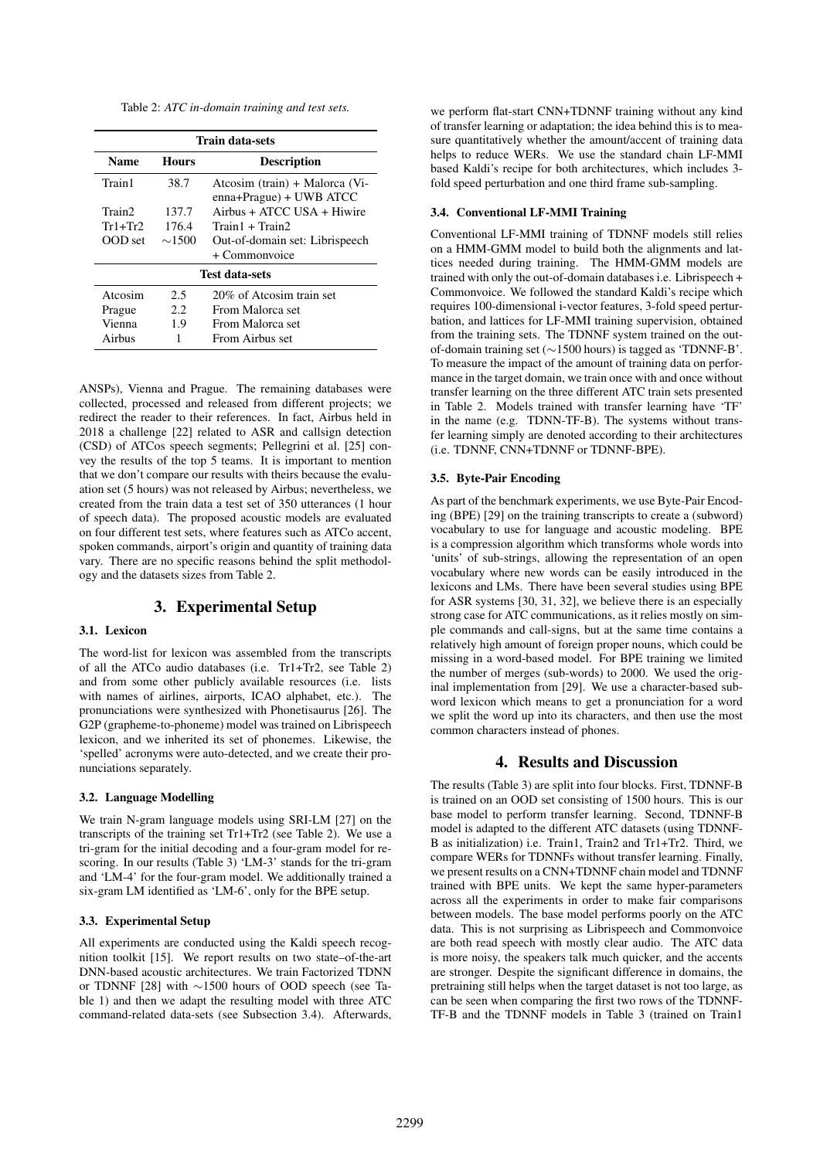Table 2: *ATC in-domain training and test sets.*

| <b>Train data-sets</b> |             |                                                           |  |  |  |  |
|------------------------|-------------|-----------------------------------------------------------|--|--|--|--|
| <b>Name</b>            | Hours       | <b>Description</b>                                        |  |  |  |  |
| Train1                 | 38.7        | Atcosim (train) + Malorca (Vi-<br>enna+Prague) + UWB ATCC |  |  |  |  |
| Train <sub>2</sub>     | 137.7       | $Airbus + ATCC$ USA $+$ Hiwire                            |  |  |  |  |
| $Tr1+Tr2$              | 176.4       | Train1 + Train2                                           |  |  |  |  |
| OOD set                | $\sim$ 1500 | Out-of-domain set: Librispeech                            |  |  |  |  |
|                        |             | + Commonvoice                                             |  |  |  |  |
| <b>Test data-sets</b>  |             |                                                           |  |  |  |  |
| Atcosim                | 2.5         | 20% of Atcosim train set                                  |  |  |  |  |
| Prague                 | 2.2.        | From Malorca set                                          |  |  |  |  |
| Vienna                 | 1.9         | From Malorca set                                          |  |  |  |  |
| Airbus                 | 1           | From Airbus set                                           |  |  |  |  |

ANSPs), Vienna and Prague. The remaining databases were collected, processed and released from different projects; we redirect the reader to their references. In fact, Airbus held in 2018 a challenge [22] related to ASR and callsign detection (CSD) of ATCos speech segments; Pellegrini et al. [25] convey the results of the top 5 teams. It is important to mention that we don't compare our results with theirs because the evaluation set (5 hours) was not released by Airbus; nevertheless, we created from the train data a test set of 350 utterances (1 hour of speech data). The proposed acoustic models are evaluated on four different test sets, where features such as ATCo accent, spoken commands, airport's origin and quantity of training data vary. There are no specific reasons behind the split methodology and the datasets sizes from Table 2.

## 3. Experimental Setup

## 3.1. Lexicon

The word-list for lexicon was assembled from the transcripts of all the ATCo audio databases (i.e. Tr1+Tr2, see Table 2) and from some other publicly available resources (i.e. lists with names of airlines, airports, ICAO alphabet, etc.). The pronunciations were synthesized with Phonetisaurus [26]. The G2P (grapheme-to-phoneme) model was trained on Librispeech lexicon, and we inherited its set of phonemes. Likewise, the 'spelled' acronyms were auto-detected, and we create their pronunciations separately.

#### 3.2. Language Modelling

We train N-gram language models using SRI-LM [27] on the transcripts of the training set Tr1+Tr2 (see Table 2). We use a tri-gram for the initial decoding and a four-gram model for rescoring. In our results (Table 3) 'LM-3' stands for the tri-gram and 'LM-4' for the four-gram model. We additionally trained a six-gram LM identified as 'LM-6', only for the BPE setup.

### 3.3. Experimental Setup

All experiments are conducted using the Kaldi speech recognition toolkit [15]. We report results on two state–of-the-art DNN-based acoustic architectures. We train Factorized TDNN or TDNNF [28] with ∼1500 hours of OOD speech (see Table 1) and then we adapt the resulting model with three ATC command-related data-sets (see Subsection 3.4). Afterwards,

we perform flat-start CNN+TDNNF training without any kind of transfer learning or adaptation; the idea behind this is to measure quantitatively whether the amount/accent of training data helps to reduce WERs. We use the standard chain LF-MMI based Kaldi's recipe for both architectures, which includes 3 fold speed perturbation and one third frame sub-sampling.

### 3.4. Conventional LF-MMI Training

Conventional LF-MMI training of TDNNF models still relies on a HMM-GMM model to build both the alignments and lattices needed during training. The HMM-GMM models are trained with only the out-of-domain databases i.e. Librispeech + Commonvoice. We followed the standard Kaldi's recipe which requires 100-dimensional i-vector features, 3-fold speed perturbation, and lattices for LF-MMI training supervision, obtained from the training sets. The TDNNF system trained on the outof-domain training set (∼1500 hours) is tagged as 'TDNNF-B'. To measure the impact of the amount of training data on performance in the target domain, we train once with and once without transfer learning on the three different ATC train sets presented in Table 2. Models trained with transfer learning have 'TF' in the name (e.g. TDNN-TF-B). The systems without transfer learning simply are denoted according to their architectures (i.e. TDNNF, CNN+TDNNF or TDNNF-BPE).

#### 3.5. Byte-Pair Encoding

As part of the benchmark experiments, we use Byte-Pair Encoding (BPE) [29] on the training transcripts to create a (subword) vocabulary to use for language and acoustic modeling. BPE is a compression algorithm which transforms whole words into 'units' of sub-strings, allowing the representation of an open vocabulary where new words can be easily introduced in the lexicons and LMs. There have been several studies using BPE for ASR systems [30, 31, 32], we believe there is an especially strong case for ATC communications, as it relies mostly on simple commands and call-signs, but at the same time contains a relatively high amount of foreign proper nouns, which could be missing in a word-based model. For BPE training we limited the number of merges (sub-words) to 2000. We used the original implementation from [29]. We use a character-based subword lexicon which means to get a pronunciation for a word we split the word up into its characters, and then use the most common characters instead of phones.

## 4. Results and Discussion

The results (Table 3) are split into four blocks. First, TDNNF-B is trained on an OOD set consisting of 1500 hours. This is our base model to perform transfer learning. Second, TDNNF-B model is adapted to the different ATC datasets (using TDNNF-B as initialization) i.e. Train1, Train2 and Tr1+Tr2. Third, we compare WERs for TDNNFs without transfer learning. Finally, we present results on a CNN+TDNNF chain model and TDNNF trained with BPE units. We kept the same hyper-parameters across all the experiments in order to make fair comparisons between models. The base model performs poorly on the ATC data. This is not surprising as Librispeech and Commonvoice are both read speech with mostly clear audio. The ATC data is more noisy, the speakers talk much quicker, and the accents are stronger. Despite the significant difference in domains, the pretraining still helps when the target dataset is not too large, as can be seen when comparing the first two rows of the TDNNF-TF-B and the TDNNF models in Table 3 (trained on Train1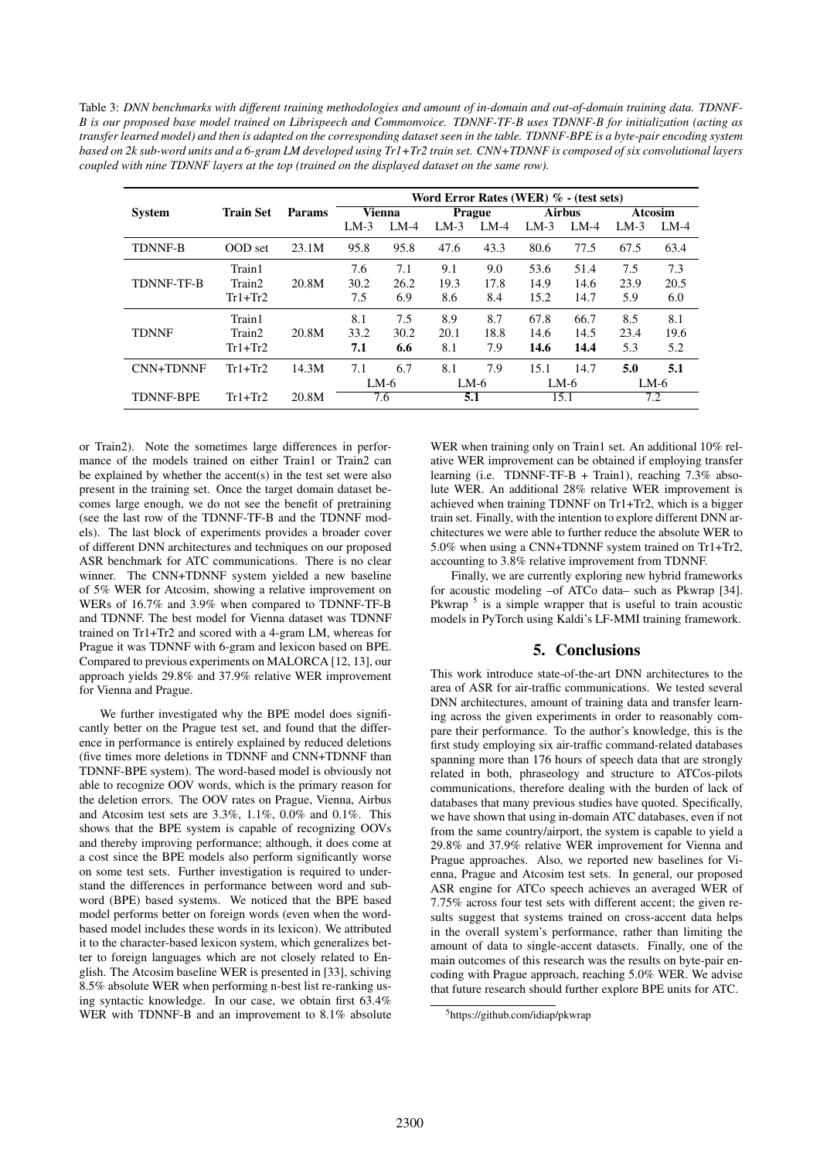Table 3: *DNN benchmarks with different training methodologies and amount of in-domain and out-of-domain training data. TDNNF-B is our proposed base model trained on Librispeech and Commonvoice. TDNNF-TF-B uses TDNNF-B for initialization (acting as transfer learned model) and then is adapted on the corresponding dataset seen in the table. TDNNF-BPE is a byte-pair encoding system based on 2k sub-word units and a 6-gram LM developed using Tr1+Tr2 train set. CNN+TDNNF is composed of six convolutional layers coupled with nine TDNNF layers at the top (trained on the displayed dataset on the same row).*

|                   |                  |               | Word Error Rates (WER) $% -$ (test sets) |        |               |        |               |        |                |        |
|-------------------|------------------|---------------|------------------------------------------|--------|---------------|--------|---------------|--------|----------------|--------|
| <b>System</b>     | <b>Train Set</b> | <b>Params</b> | <b>Vienna</b>                            |        | <b>Prague</b> |        | <b>Airbus</b> |        | <b>Atcosim</b> |        |
|                   |                  |               | $LM-3$                                   | $LM-4$ | $LM-3$        | $LM-4$ | $LM-3$        | $LM-4$ | $LM-3$         | $LM-4$ |
| <b>TDNNF-B</b>    | OOD set          | 23.1M         | 95.8                                     | 95.8   | 47.6          | 43.3   | 80.6          | 77.5   | 67.5           | 63.4   |
|                   | Train1           |               | 7.6                                      | 7.1    | 9.1           | 9.0    | 53.6          | 51.4   | 7.5            | 7.3    |
| <b>TDNNF-TF-B</b> | Train2           | 20.8M         | 30.2                                     | 26.2   | 19.3          | 17.8   | 14.9          | 14.6   | 23.9           | 20.5   |
|                   | $Tr1+Tr2$        |               | 7.5                                      | 6.9    | 8.6           | 8.4    | 15.2          | 14.7   | 5.9            | 6.0    |
|                   | Train1           |               | 8.1                                      | 7.5    | 8.9           | 8.7    | 67.8          | 66.7   | 8.5            | 8.1    |
| <b>TDNNF</b>      | Train2           | 20.8M         | 33.2                                     | 30.2   | 20.1          | 18.8   | 14.6          | 14.5   | 23.4           | 19.6   |
|                   | $Tr1+Tr2$        |               | 7.1                                      | 6.6    | 8.1           | 7.9    | 14.6          | 14.4   | 5.3            | 5.2    |
| CNN+TDNNF         | $Tr1+Tr2$        | 14.3M         | 7.1                                      | 6.7    | 8.1           | 7.9    | 15.1          | 14.7   | 5.0            | 5.1    |
|                   |                  |               | $LM-6$                                   |        | LM-6          |        | $LM-6$        |        | $LM-6$         |        |
| <b>TDNNF-BPE</b>  | $Tr1+Tr2$        | 20.8M         | 7.6                                      |        | 5.1           |        | 15.1          |        | 7.2            |        |

or Train2). Note the sometimes large differences in performance of the models trained on either Train1 or Train2 can be explained by whether the accent(s) in the test set were also present in the training set. Once the target domain dataset becomes large enough, we do not see the benefit of pretraining (see the last row of the TDNNF-TF-B and the TDNNF models). The last block of experiments provides a broader cover of different DNN architectures and techniques on our proposed ASR benchmark for ATC communications. There is no clear winner. The CNN+TDNNF system yielded a new baseline of 5% WER for Atcosim, showing a relative improvement on WERs of 16.7% and 3.9% when compared to TDNNF-TF-B and TDNNF. The best model for Vienna dataset was TDNNF trained on Tr1+Tr2 and scored with a 4-gram LM, whereas for Prague it was TDNNF with 6-gram and lexicon based on BPE. Compared to previous experiments on MALORCA [12, 13], our approach yields 29.8% and 37.9% relative WER improvement for Vienna and Prague.

We further investigated why the BPE model does significantly better on the Prague test set, and found that the difference in performance is entirely explained by reduced deletions (five times more deletions in TDNNF and CNN+TDNNF than TDNNF-BPE system). The word-based model is obviously not able to recognize OOV words, which is the primary reason for the deletion errors. The OOV rates on Prague, Vienna, Airbus and Atcosim test sets are 3.3%, 1.1%, 0.0% and 0.1%. This shows that the BPE system is capable of recognizing OOVs and thereby improving performance; although, it does come at a cost since the BPE models also perform significantly worse on some test sets. Further investigation is required to understand the differences in performance between word and subword (BPE) based systems. We noticed that the BPE based model performs better on foreign words (even when the wordbased model includes these words in its lexicon). We attributed it to the character-based lexicon system, which generalizes better to foreign languages which are not closely related to English. The Atcosim baseline WER is presented in [33], schiving 8.5% absolute WER when performing n-best list re-ranking using syntactic knowledge. In our case, we obtain first 63.4% WER with TDNNF-B and an improvement to 8.1% absolute

WER when training only on Train1 set. An additional 10% relative WER improvement can be obtained if employing transfer learning (i.e. TDNNF-TF-B + Train1), reaching 7.3% absolute WER. An additional 28% relative WER improvement is achieved when training TDNNF on Tr1+Tr2, which is a bigger train set. Finally, with the intention to explore different DNN architectures we were able to further reduce the absolute WER to 5.0% when using a CNN+TDNNF system trained on Tr1+Tr2, accounting to 3.8% relative improvement from TDNNF.

Finally, we are currently exploring new hybrid frameworks for acoustic modeling –of ATCo data– such as Pkwrap [34]. Pkwrap<sup>5</sup> is a simple wrapper that is useful to train acoustic models in PyTorch using Kaldi's LF-MMI training framework.

## 5. Conclusions

This work introduce state-of-the-art DNN architectures to the area of ASR for air-traffic communications. We tested several DNN architectures, amount of training data and transfer learning across the given experiments in order to reasonably compare their performance. To the author's knowledge, this is the first study employing six air-traffic command-related databases spanning more than 176 hours of speech data that are strongly related in both, phraseology and structure to ATCos-pilots communications, therefore dealing with the burden of lack of databases that many previous studies have quoted. Specifically, we have shown that using in-domain ATC databases, even if not from the same country/airport, the system is capable to yield a 29.8% and 37.9% relative WER improvement for Vienna and Prague approaches. Also, we reported new baselines for Vienna, Prague and Atcosim test sets. In general, our proposed ASR engine for ATCo speech achieves an averaged WER of 7.75% across four test sets with different accent; the given results suggest that systems trained on cross-accent data helps in the overall system's performance, rather than limiting the amount of data to single-accent datasets. Finally, one of the main outcomes of this research was the results on byte-pair encoding with Prague approach, reaching 5.0% WER. We advise that future research should further explore BPE units for ATC.

<sup>5</sup>https://github.com/idiap/pkwrap